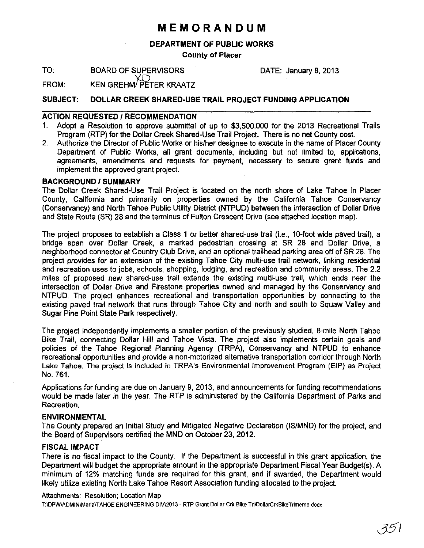# **MEMORANDUM**

### DEPARTMENT OF PUBLIC WORKS

County of Placer

TO: BOARD OF SUPERVISORS DATE: January 8, 2013

FROM: KEN GREHM/PETER KRAATZ

## SUBJECT: DOLLAR CREEK SHARED-USE TRAIL PROJECT FUNDING APPLICATION

#### ACTION REQUESTED / RECOMMENDATION

- 1. Adopt a Resolution to approve submittal of up to \$3,500,000 for the 2013 Recreational Trails Program (RTP) for the Dollar Creek Shared-Use Trail Project. There is no net County cost.
- 2. Authorize the Director of Public Works or hislher designee to execute in the name of Placer County Department of Public Works, all grant documents, including but not limited to, applications, agreements, amendments and requests for payment, necessary to secure grant funds and implement the approved grant project.

#### BACKGROUND/SUMMARY

The Dollar Creek Shared-Use Trail Project is located on the north shore of Lake Tahoe in Placer County, California and primarily on properties owned by the California Tahoe Conservancy (Conservancy) and North Tahoe Public Utility District (NTPUD) between the intersection of Dollar Drive and State Route (SR) 28 and the terminus of Fulton Crescent Drive (see attached location map).

The project proposes to establish a Class 1 or better shared-use trail (i.e., 10-foot wide paved trail), a bridge span over Dollar Creek, a marked pedestrian crossing at SR 28 and Dollar Drive, a neighborhood connector at Country Club Drive, and an optional trailhead parking area off of SR 28. The project provides for an extension of the existing Tahoe City multi-use trail network, linking residential and recreation uses to jobs, schools, shopping, lodging, and recreation and community areas. The 2.2 miles of proposed new shared-use trail extends the existing multi-use trail, which ends near the intersection of Dollar Drive and Firestone properties owned and managed by the Conservancy and NTPUD. The project enhances recreational and transportation opportunities by connecting to the existing paved trail network that runs through Tahoe City and north and south to Squaw Valley and Sugar Pine Point State Park respectively.

The project independently implements a smaller portion of the previously studied, 8-mile North Tahoe Bike Trail, connecting Dollar Hill and Tahoe Vista. The project also implements certain goals and policies of the Tahoe Regional Planning Agency (TRPA), Conservancy and NTPUD to enhance recreational opportunities and provide a non-motorized alternative transportation corridor through North Lake Tahoe. The project is included in TRPA's Environmental Improvement Program (EIP) as Project No. 761.

Applications for funding are due on January 9, 2013, and announcements for funding recommendations would be made later in the year. The RTP is administered by the California Department of Parks and Recreation.

#### ENVIRONMENTAL

The County prepared an Initial Study and Mitigated Negative Declaration (lS/MND) for the project, and the Board of Supervisors certified the MND on October 23, 2012.

#### FISCAL IMPACT

There is no fiscal impact to the County. If the Department is successful in this grant application, the Department will budget the appropriate amount in the appropriate Department Fiscal Year Budget(s). A minimum of 12% matching funds are required for this grant, and if awarded, the Department would likely utilize existing North Lake Tahoe Resort Association funding allocated to the project.

#### Attachments: Resolution; Location Map

T:IDPWlADMINlMarlaITAHOE ENGINEERING DIVI2013 - RTP Grant Dollar Crk Bike TrllOoliarCrkBikeTrlmemo.docx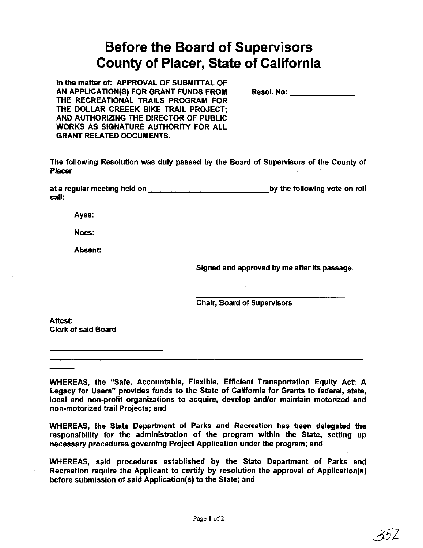# **Before the Board of Supervisors County of Placer, State of California**

In the matter of: APPROVAL OF SUBMITTAL OF AN APPLICATION(S) FOR GRANT FUNDS FROM THE RECREATIONAL TRAILS PROGRAM FOR THE DOLLAR CREEEK BIKE TRAIL PROJECT; AND AUTHORIZING THE DIRECTOR OF PUBLIC WORKS AS SIGNATURE AUTHORITY FOR ALL GRANT RELATED DOCUMENTS.

Reso!. No: \_\_\_\_\_\_ \_

The following Resolution was duly passed by the Board of Supervisors of the County of Placer

at a regular meeting held on **with the summan example of the following vote on roll** call:

Ayes:

Noes:

Absent:

Signed and approved by me after its passage.

 $352$ 

Chair, Board of Supervisors

Attest: Clerk of said Board

WHEREAS, the "Safe, Accountable, Flexible, Efficient Transportation Equity Act: A Legacy for Users" provides funds to the State of California for Grants to federal, state, local and non-profit organizations to acquire, develop and/or maintain motorized and non-motorized trail Projects; and

WHEREAS, the State Department of Parks and Recreation has been delegated the responsibility for the administration of the program within the State, setting up necessary procedures governing Project Application under the program; and

WHEREAS, said procedures established by the State Department of Parks and Recreation require the Applicant to certify by resolution the approval of Application(s) before submission of said Application(s) to the State; and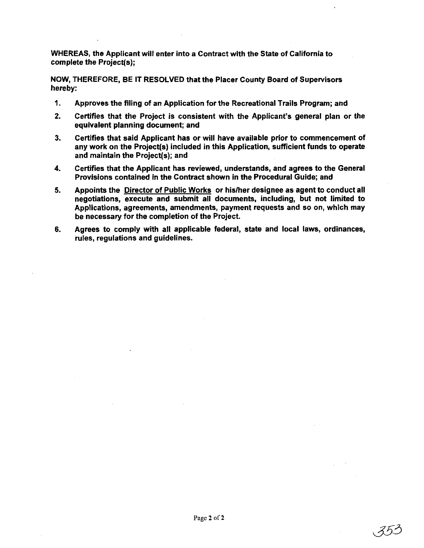WHEREAS, the Applicant will enter into a Contract with the State of California to complete the Project{s);

NOW, THEREFORE, BE IT RESOLVED that the Placer County Board of Supervisors hereby:

- 1. Approves the filing of an Application for the Recreational Trails Program; and
- 2. Certifies that the Project is consistent with the Applicant's general plan or the equivalent planning document; and
- 3. Certifies that said Applicant has or will have available prior to commencement of any work on the Project{s) included in this Application, sufficient funds to operate and maintain the Project(s); and
- 4. Certifies that the Applicant has reviewed, understands, and agrees to the General Provisions contained in the Contract shown in the Procedural Guide; and
- 5. Appoints the Director of Public Works or his/her designee as agent to conduct all negotiations, execute and submit all documents, including, but not limited to Applications, agreements, amendments, payment requests and so on, which may be necessary for the completion of the Project.
- 6. Agrees to comply with all applicable federal, state and local laws, ordinances, rules, regulations and guidelines.

352